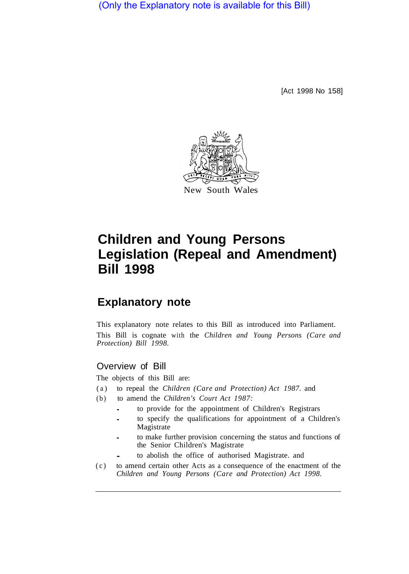(Only the Explanatory note is available for this Bill)

[Act 1998 No 158]



New South Wales

# **Children and Young Persons Legislation (Repeal and Amendment) Bill 1998**

# **Explanatory note**

This explanatory note relates to this Bill as introduced into Parliament. This Bill is cognate with the *Children and Young Persons (Care and Protection) Bill 1998.* 

### Overview of Bill

The objects of this Bill are:

- (a) to repeal the *Children (Care and Protection) Act 1987.* and
- (b) to amend the *Children's Court Act 1987:* 
	- to provide for the appointment of Children's Registrars
	- to specify the qualifications for appointment of a Children's Magistrate
	- to make further provision concerning the status and functions of the Senior Children's Magistrate
	- to abolish the office of authorised Magistrate. and
- (c) to amend certain other Acts as a consequence of the enactment of the *Children and Young Persons (Care and Protection) Act 1998.*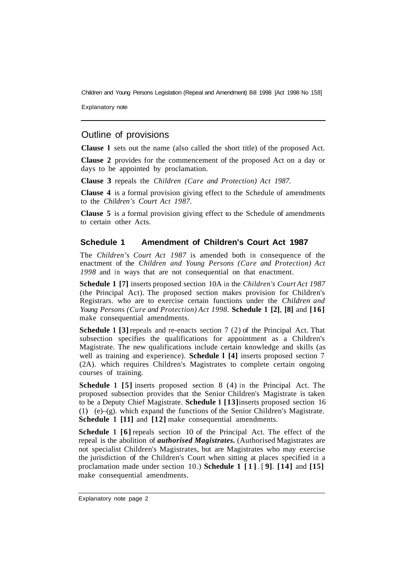Children and Young Persons Legislation (Repeal and Amendment) Bill 1998 [Act 1998 No 158]

Explanatory note

## Outline of provisions

**Clause l** sets out the name (also called the short title) of the proposed Act.

**Clause 2** provides for the commencement of the proposed Act on a day or days to be appointed by proclamation.

**Clause 3** repeals the *Children (Care and Protection) Act 1987.* 

**Clause 4** is a formal provision giving effect to the Schedule of amendments to the *Children's Court Act 1987.* 

**Clause 5** is a formal provision giving effect to the Schedule of amendments to certain other Acts.

#### **Schedule 1 Amendment of Children's Court Act 1987**

The *Children's Court Act 1987* is amended both in consequence of the enactment of the *Children and Young Persons (Care and Protection) Act 1998* and in ways that are not consequential on that enactment.

**Schedule 1 [7]** inserts proposed section 10A in the *Children's Court Act 1987*  (the Principal Act). The proposed section makes provision for Children's Registrars. who are to exercise certain functions under the *Children and Young Persons (Cure and Protection) Act 1998.* **Schedule 1 [2]**, **[8]** and **[16]**  make consequential amendments.

**Schedule 1 [3] repeals and re-enacts section 7 (2) of the Principal Act. That** subsection specifies the qualifications for appointment as a Children's Magistrate. The new qualifications include certain knowledge and skills (as well as training and experience). **Schedule l [4]** inserts proposed section 7 (2A). which requires Children's Magistrates to complete certain ongoing courses of training.

**Schedule 1 [5]** inserts proposed section 8 (4) in the Principal Act. The proposed subsection provides that the Senior Children's Magistrate is taken to be a Deputy Chief Magistrate. **Schedule 1 [13]** inserts proposed section 16 (1) (e)–(g). which expand the functions of the Senior Children's Magistrate. **Schedule 1 [11]** and **[12]** make consequential amendments.

**Schedule 1** [6] repeals section 10 of the Principal Act. The effect of the repeal is the abolition of *authorised Magistrates.* (Authorised Magistrates are not specialist Children's Magistrates, but are Magistrates who may exercise the jurisdiction of the Children's Court when sitting at places specified in a proclamation made under section 10.) **Schedule 1 [1]** . [ **9]**. **[14]** and **[15]**  make consequential amendments.

Explanatory note page 2